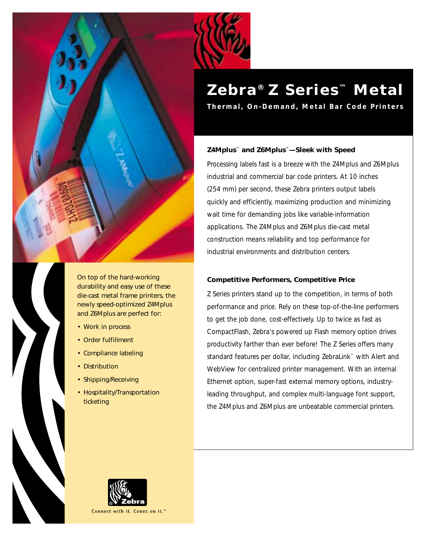

On top of the hard-working durability and easy use of these die-cast metal frame printers, the newly speed-optimized Z4Mplus and Z6Mplus are perfect for:

- Work in process
- Order fulfillment
- Compliance labeling
- Distribution
- Shipping/Receiving
- Hospitality/Transportation ticketing

# **Zebra ® Z Series ™ Metal**

**Thermal, On-Demand, Metal Bar Code Printers**

# **Z4Mplus™ and Z6Mplus™—Sleek with Speed**

Processing labels fast is a breeze with the Z4Mplus and Z6Mplus industrial and commercial bar code printers. At 10 inches (254 mm) per second, these Zebra printers output labels quickly and efficiently, maximizing production and minimizing wait time for demanding jobs like variable-information applications. The Z4Mplus and Z6Mplus die-cast metal construction means reliability and top performance for industrial environments and distribution centers.

# **Competitive Performers, Competitive Price**

Z Series printers stand up to the competition, in terms of both performance and price. Rely on these top-of-the-line performers to get the job done, cost-effectively. Up to twice as fast as CompactFlash, Zebra's powered up Flash memory option drives productivity farther than ever before! The Z Series offers many standard features per dollar, including ZebraLink™ with Alert and WebView for centralized printer management. With an internal Ethernet option, super-fast external memory options, industryleading throughput, and complex multi-language font support, the Z4Mplus and Z6Mplus are unbeatable commercial printers.